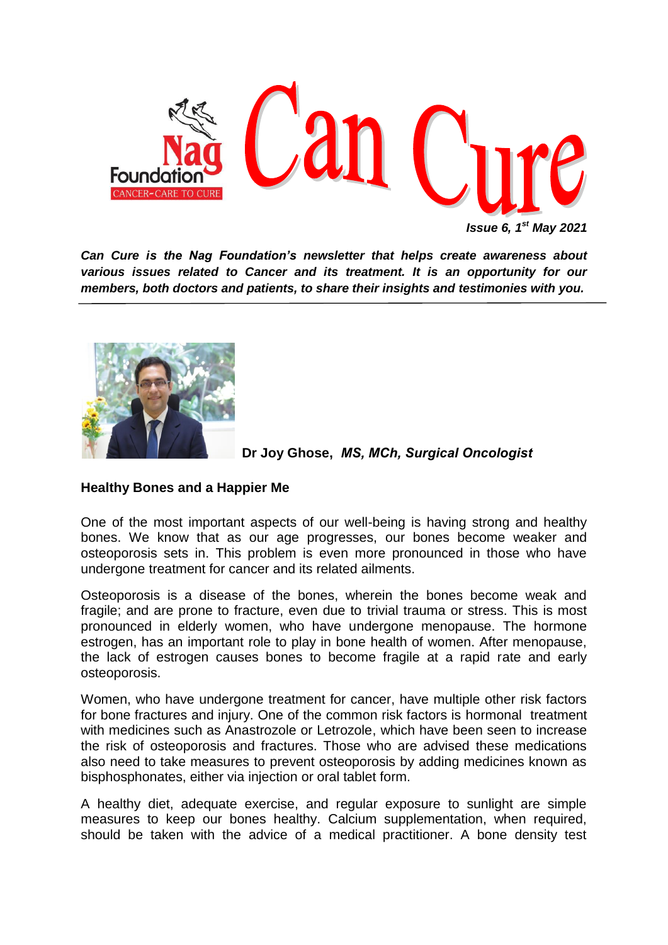

*Can Cure is the Nag Foundation's newsletter that helps create awareness about various issues related to Cancer and its treatment. It is an opportunity for our members, both doctors and patients, to share their insights and testimonies with you.*



 **Dr Joy Ghose,** *MS, MCh, Surgical Oncologist*

# **Healthy Bones and a Happier Me**

One of the most important aspects of our well-being is having strong and healthy bones. We know that as our age progresses, our bones become weaker and osteoporosis sets in. This problem is even more pronounced in those who have undergone treatment for cancer and its related ailments.

Osteoporosis is a disease of the bones, wherein the bones become weak and fragile; and are prone to fracture, even due to trivial trauma or stress. This is most pronounced in elderly women, who have undergone menopause. The hormone estrogen, has an important role to play in bone health of women. After menopause, the lack of estrogen causes bones to become fragile at a rapid rate and early osteoporosis.

Women, who have undergone treatment for cancer, have multiple other risk factors for bone fractures and injury. One of the common risk factors is hormonal treatment with medicines such as Anastrozole or Letrozole, which have been seen to increase the risk of osteoporosis and fractures. Those who are advised these medications also need to take measures to prevent osteoporosis by adding medicines known as bisphosphonates, either via injection or oral tablet form.

A healthy diet, adequate exercise, and regular exposure to sunlight are simple measures to keep our bones healthy. Calcium supplementation, when required, should be taken with the advice of a medical practitioner. A bone density test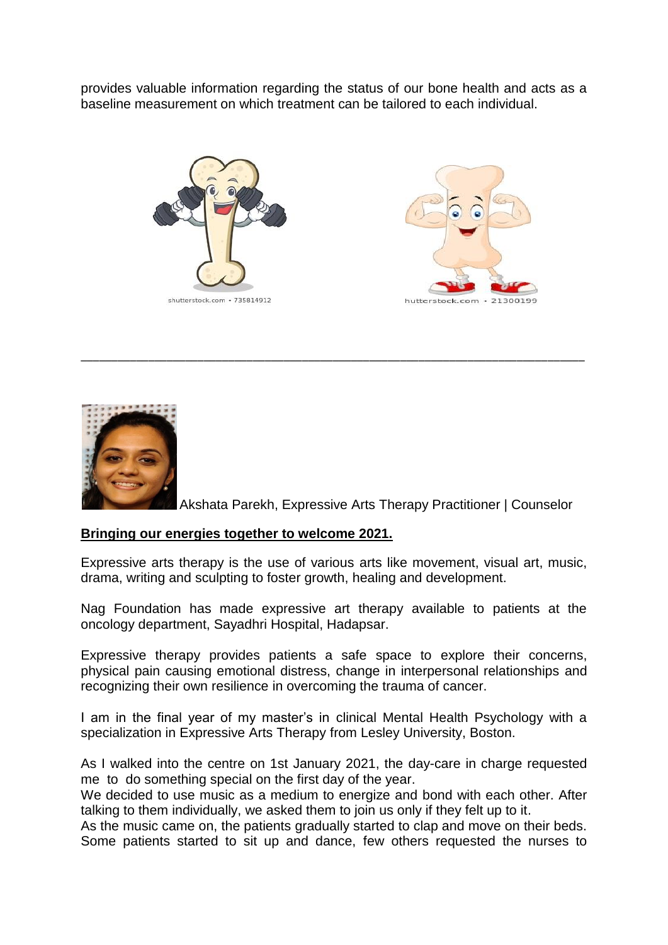provides valuable information regarding the status of our bone health and acts as a baseline measurement on which treatment can be tailored to each individual.







Akshata Parekh, Expressive Arts Therapy Practitioner | Counselor

# **Bringing our energies together to welcome 2021.**

Expressive arts therapy is the use of various arts like movement, visual art, music, drama, writing and sculpting to foster growth, healing and development.

\_\_\_\_\_\_\_\_\_\_\_\_\_\_\_\_\_\_\_\_\_\_\_\_\_\_\_\_\_\_\_\_\_\_\_\_\_\_\_\_\_\_\_\_\_\_\_\_\_\_\_\_\_\_\_\_\_\_\_\_\_\_\_\_\_\_\_\_\_\_\_\_\_\_\_\_\_\_\_\_\_\_

Nag Foundation has made expressive art therapy available to patients at the oncology department, Sayadhri Hospital, Hadapsar.

Expressive therapy provides patients a safe space to explore their concerns, physical pain causing emotional distress, change in interpersonal relationships and recognizing their own resilience in overcoming the trauma of cancer.

I am in the final year of my master's in clinical Mental Health Psychology with a specialization in Expressive Arts Therapy from Lesley University, Boston.

As I walked into the centre on 1st January 2021, the day-care in charge requested me to do something special on the first day of the year.

We decided to use music as a medium to energize and bond with each other. After talking to them individually, we asked them to join us only if they felt up to it.

As the music came on, the patients gradually started to clap and move on their beds. Some patients started to sit up and dance, few others requested the nurses to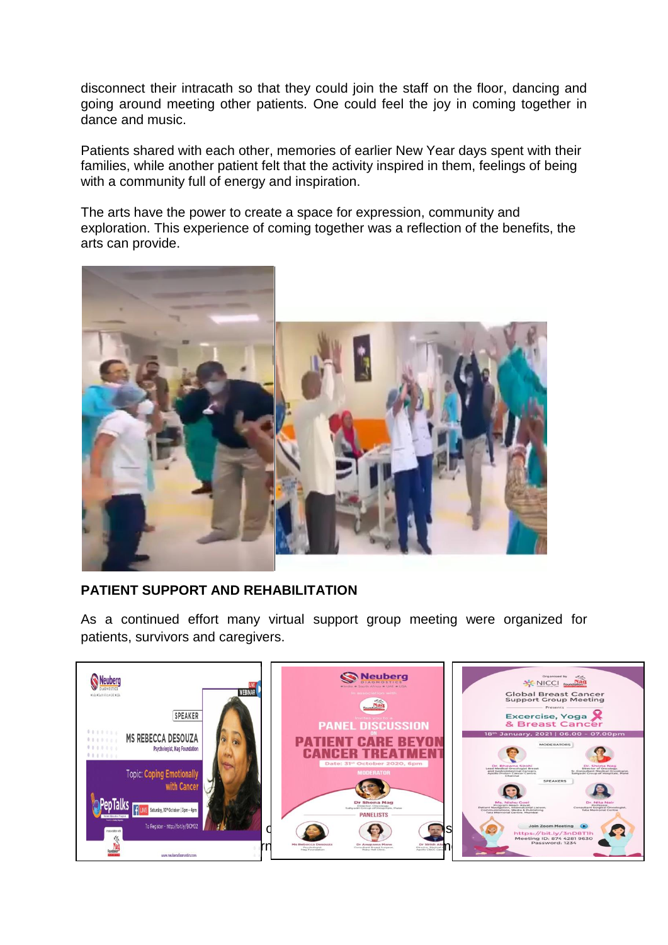disconnect their intracath so that they could join the staff on the floor, dancing and going around meeting other patients. One could feel the joy in coming together in dance and music.

Patients shared with each other, memories of earlier New Year days spent with their families, while another patient felt that the activity inspired in them, feelings of being with a community full of energy and inspiration.

The arts have the power to create a space for expression, community and exploration. This experience of coming together was a reflection of the benefits, the arts can provide.



# **PATIENT SUPPORT AND REHABILITATION**

As a continued effort many virtual support group meeting were organized for patients, survivors and caregivers.

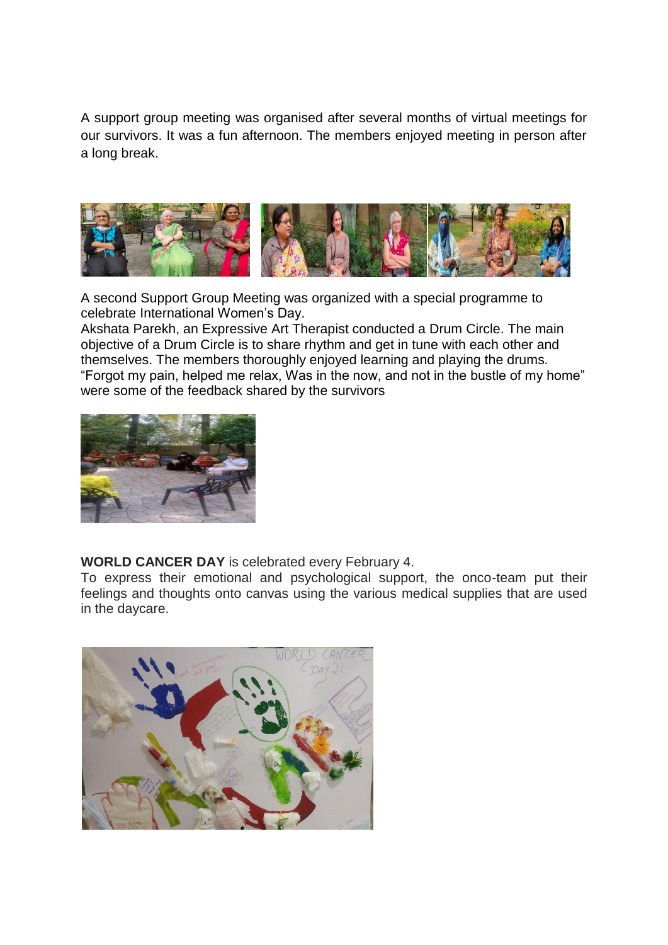A support group meeting was organised after several months of virtual meetings for our survivors. It was a fun afternoon. The members enjoyed meeting in person after a long break.



A second Support Group Meeting was organized with a special programme to celebrate International Women's Day.

Akshata Parekh, an Expressive Art Therapist conducted a Drum Circle. The main objective of a Drum Circle is to share rhythm and get in tune with each other and themselves. The members thoroughly enjoyed learning and playing the drums. "Forgot my pain, helped me relax, Was in the now, and not in the bustle of my home" were some of the feedback shared by the survivors



**WORLD CANCER DAY** is celebrated every February 4.

To express their emotional and psychological support, the onco-team put their feelings and thoughts onto canvas using the various medical supplies that are used in the daycare.

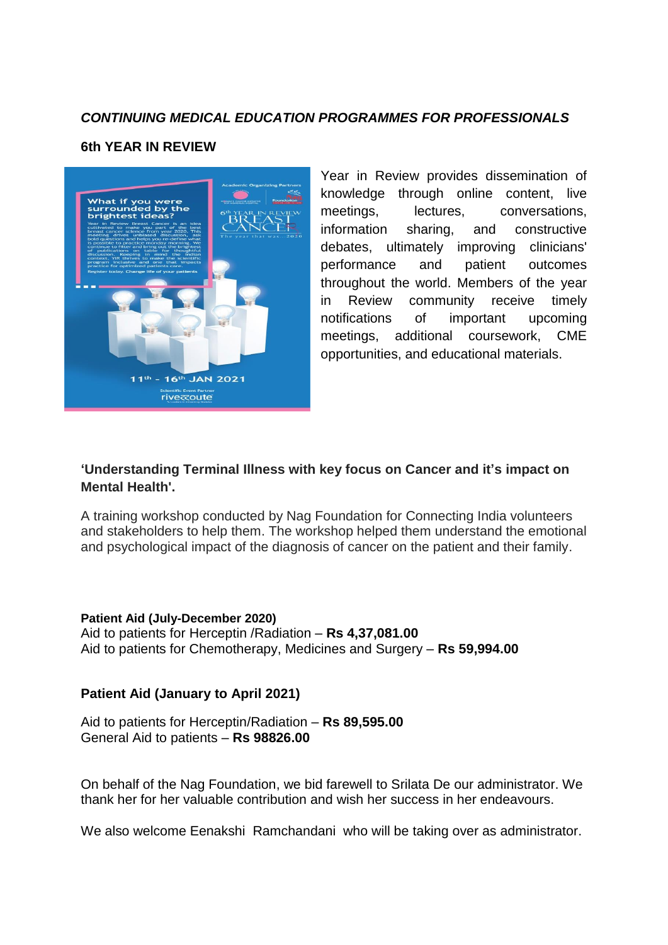# *CONTINUING MEDICAL EDUCATION PROGRAMMES FOR PROFESSIONALS*

### **6th YEAR IN REVIEW**



Year in Review provides dissemination of knowledge through online content, live meetings, lectures, conversations, information sharing, and constructive debates, ultimately improving clinicians' performance and patient outcomes throughout the world. Members of the year in Review community receive timely notifications of important upcoming meetings, additional coursework, CME opportunities, and educational materials.

# **'Understanding Terminal Illness with key focus on Cancer and it's impact on Mental Health'.**

A training workshop conducted by Nag Foundation for Connecting India volunteers and stakeholders to help them. The workshop helped them understand the emotional and psychological impact of the diagnosis of cancer on the patient and their family.

**Patient Aid (July-December 2020)** Aid to patients for Herceptin /Radiation – **Rs 4,37,081.00** Aid to patients for Chemotherapy, Medicines and Surgery – **Rs 59,994.00**

# **Patient Aid (January to April 2021)**

Aid to patients for Herceptin/Radiation – **Rs 89,595.00** General Aid to patients – **Rs 98826.00**

On behalf of the Nag Foundation, we bid farewell to Srilata De our administrator. We thank her for her valuable contribution and wish her success in her endeavours.

We also welcome Eenakshi Ramchandani who will be taking over as administrator.